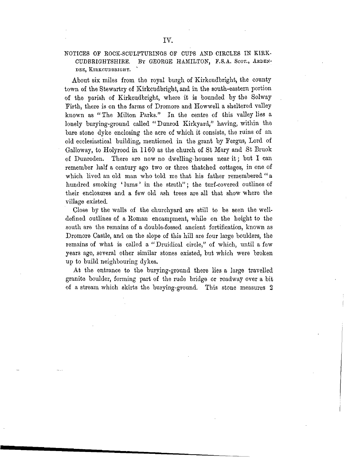## NOTICES OF ROCK-SCULPTURINGS OF CUPS AND CIRCLES IN KIRK-CUDBRIGHTSHIRE. BY GEORGE HAMILTON, F.S.A. SCOT., ARDEN-DEE. KIRKCUDBRIGHT.

About six miles from the royal burgh of Kirkcudbright, the county town of the Stewartry of Kirkcudbright, and in the south-eastern portion of the parish of Kirkcudbright, where it is bounded by the Solway Firth, there is on the farms of Dromore and Howwell a sheltered valley known as "The Milton Parks." In the centre of this valley lies a lonely burying-ground called "Dunrod Kirkyard," having, within the bare stone dyke enclosing the acre of which it consists, the ruins of an old ecclesiastical building, mentioned in the grant by Fergus, Lord of Galloway, to Holyrood in 1160 as the church of St Mary and St Bruok of Dunroden. There are now no dwelling-houses near it; but I can remember half a century ago two or three thatched cottages, in one of which lived an old man who told me that his father remembered " a hundred smoking 'lums' in the strath"; the turf-covered outlines of their enclosures and a few old ash trees are all that show where the village existed.

Close by the walls of the churchyard are still to be seen the welldefined outlines of a Koman encampment, while on the height to the south are the remains of a double-fossed ancient fortification, known as Dromore Castle, and on the slope of this hill are four large boulders, the remains of what is called a " Druidical circle," of which, until a few years ago, several other similar stones existed, but which were broken up to build neighbouring dykes.

At the entrance to the burying-ground there lies a large travelled granite boulder, forming part of the rude bridge or roadway over a bit of a stream which skirts the burying-ground. This stone measures 2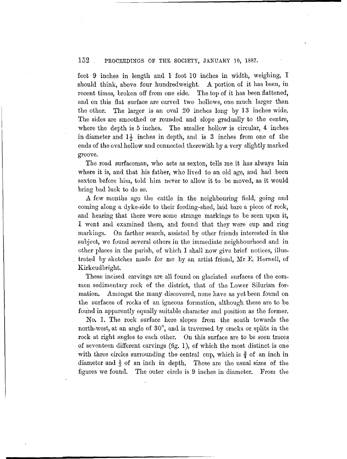## 152 . PROCEEDINGS OF THE SOCIETY, JANUARY 10, 1887.

feet 9 inches in length and 1 foot 10 inches in width, weighing, I should think, above four hundredweight. A portion of it has been, in recent times, broken off from one side. The top of it has been flattened, and on this flat surface are carved two hollows, one much larger than the other. The larger is an oval 20 inches long by 13 inches wide. The sides are smoothed or rounded and slope gradually to the centre, where the depth is 5 inches. The smaller hollow is circular, 4 inches in diameter and  $1\frac{1}{2}$  inches in depth, and is 3 inches from one of the ends of the oval hollow and connected therewith by a very slightly marked groove.

The road surfaceman, who acts as sexton, tells me it has always lain where it is, and that his father, who lived to an old age, and had been sexton before him, told him never to allow it to be moved, as it would bring bad luck to do so.

A few months ago the cattle in. the neighbouring field, going and coming along a dyke-side to their feeding-shed, laid bare a piece of rock, and hearing that there were some strange markings to be seen upon it, I went and examined them, and found that they were cup and ring markings. On farther search, assisted by other friends interested in the subject, wo found several others in the immediate neighbourhood and in other places in the parish, of which I shall now give brief notices, illustrated by sketches made for mo by an artist friend, Mr E. Hornell, of Kirkcudbright.

These incised carvings are all found on glaciated surfaces of the common sedimentary rock of the district, that of the Lower Silurian formation. Amongst the many discovered, none have as yet been found on the surfaces of rocks of an igneous formation, although these are to be found in apparently equally suitable character and position as the former.

No. 1. The rock surface here slopes from the south towards the north-west, at an angle of 30°, and is traversed by cracks or splits in the rock at right angles to each other. On this surface are to be seen traces of seventeen different carvings (fig. 1), of which the most distinct is one with three circles surrounding the central cup, which is  $\frac{3}{4}$  of an inch in diameter and  $\frac{1}{3}$  of an inch in depth. These are the usual sizes of the figures we found. The outer circle is 9 inches in diameter. From the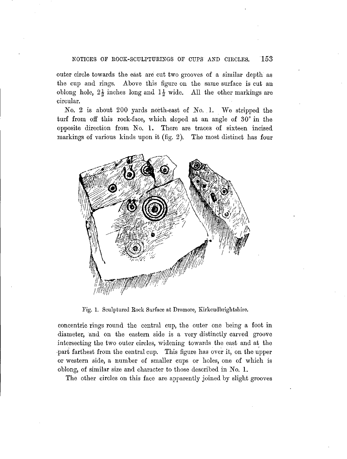## NOTICES OF EOCK-SCULPTURINGS OF CUPS AND CIRCLES. 153

outer circle towards the east are cut two grooves of a similar depth as the cup and rings. Above this figure on the same surface is cut an oblong hole,  $2\frac{1}{2}$  inches long and  $1\frac{1}{2}$  wide. All the other markings are circular.

No. 2 is about 200 yards north-east of No. 1. We stripped the turf from off this rock-face, which sloped at an angle of 30° in the opposite direction from No. 1. There are traces of sixteen incised markings of various kinds upon it (fig. 2). The most distinct has four



Fig. 1. Sculptured Rock Surface at Dromore, Kirkcudbrightshire.

concentric rings round the central cup, the outer one being a foot in diameter, and on the eastern side is a very distinctly carved groove intersecting the two outer circles, widening towards the east and at the •part farthest from the central cup. This figure has over it, on the upper or western side, a number of smaller cups or holes, one of which is oblong, of similar size and character to those described in No. 1.

The other circles on this face are apparently joined by slight grooves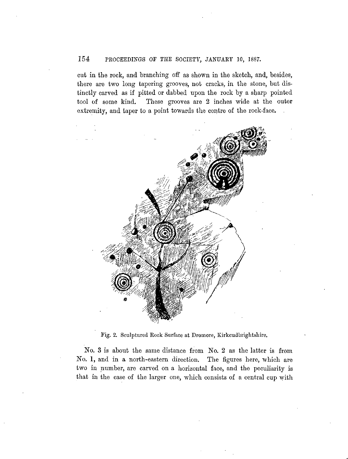# 154 PROCEEDINGS OF THE SOCIETY, JANUARY 10, 1887.

cut in the rock, and branching off as shown in the sketch, and, besides, there are two long tapering grooves, not cracks, in the stone, but distinctly carved as if pitted or dabbed upon the rock by a sharp pointed tool of some kind. These grooves are 2 inches wide at the outer extremity, and taper to a point towards the centre of the rock-face.



Fig. 2. Sculptured Rock Surface at Dromore, Kirkcudbrightshire.

No. 3 is about the same distance from No. 2 as the latter is from No. 1, and in a north-eastern direction. The figures here, which are two in number, are carved on a horizontal face, and the peculiarity is that in the case of the larger one, which consists of a central cup with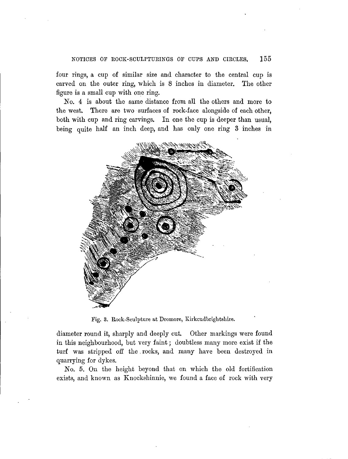#### NOTICES OF EOCK-SCULPTUEINGS OF CUPS AND CIECLES. 155

four rings, a cup of similar size and character to the central cup is carved on the outer ring, which is 8 inches in diameter. The other figure is a small cup with one ring.

No. 4 is about the same distance from all the others and more to the west. There are two surfaces of rock-face alongside of each other, both with cup and ring carvings. In one the cup is deeper than usual, being quite half an inch deep, and has only one ring 3 inches in



Fig. 3. Rock-Sculpture at Dromore, Kirkcudbrightshire.

diameter round it, sharply and deeply cut. Other markings were found in this neighbourhood, but very faint; doubtless many more exist if the turf was stripped off the. rocks, and many have been destroyed in quarrying for dykes.

No. 5. On the height beyond that on which the old fortification exists, and known as Knockshinnie, we found a face of rock with very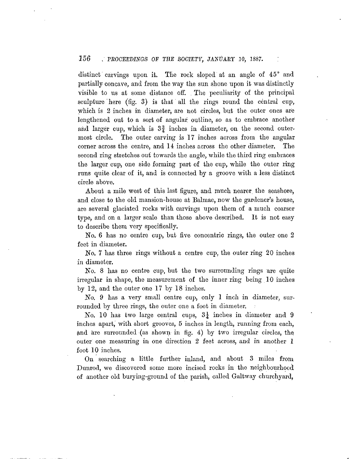### $156$  , PROCEEDINGS OF THE SOCIETY, JANUARY 10, 1887.  $\hskip10mm$  :

distinct carvings upon it. The rock sloped at an angle of 45° and partially, concave, and from the way the sun shone upon it was distinctly visible to us at some distance off. The peculiarity of the principal sculpture'here (fig. 3) is that all the rings round the central cup, which is 2 inches in diameter, are not circles, but the outer ones are lengthened out to a sort of angular, outline, so as to embrace another and larger cup, which is  $3\frac{3}{4}$  inches in diameter, on the second outermost circle. The outer carving is 17 inches across from the angular corner across the centre, and 14 inches across the other diameter. The second ring stretches out towards the angle, while the third ring embraces the larger cup, one side forming part of the cup, while the outer ring runs quite clear of it, and is connected by a groove with a less distinct circle above.

About a mile west of this last figure, and much nearer, the seashore, and close to the old mansion-house at Balmae, now the gardener's house, are several glaciated rocks with carvings upon them of a much coarser type, and on a larger scale than those above described. It is not easy to describe them very specifically.

No. 6 has no centre cup, but five concentric rings, the outer one 2 feet in diameter.

*No.* 7 has three rings without a centre cup. the outer ring 20 inches in diameter.

*No.* 8 has no centre cup, but the two surrounding rings are quite irregular in shape, the measurement of the inner ring being 10 inches by 12, and the outer one 17 by 18 inches.

*No.* 9 has a very small centre cup, only 1 inch in diameter, surrounded by three rings, the outer one a foot in diameter.

No. 10 has two large central cups,  $3\frac{1}{4}$  inches in diameter and 9 inches apart, with short grooves, 5 inches in length, running from each, and are surrounded (as shown in fig. 4) by two irregular circles, the outer one measuring in one direction 2 feet across, and in another 1 foot 10 inches.

On searching a little further inland, and about 3 miles from Dunrod, we discovered some more incised rocks in the neighbourhood of another old bury ing-ground of the parish, called Galtway churchyard,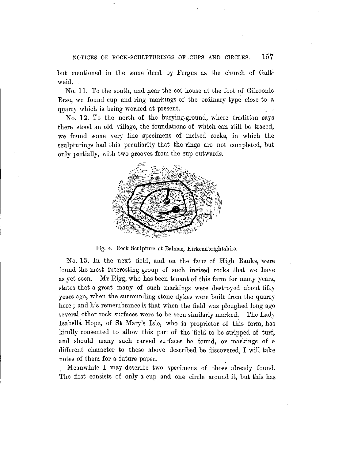but mentioned in the same deed by Fergus as the church of Galtweid. . .

No. 11. To the south, and near the cot house at the foot of Gilroonie Brae, we found cup and ring markings of the ordinary type close to a quarry which is being worked at present.

No. 12. To the north of the burying-ground, where tradition says there stood an old village, the foundations of which can still be traced, we found some very fine specimens of incised rocks, in which the sculpturings had this peculiarity that the rings are not completed, but only partially, with two grooves from the cup outwards.



Fig. 4. Eock Sculpture at Balmae, Kirkcudbrightshire.

No. 13. In the next field, and on the farm of High Banks, were found the most interesting group of such incised rocks that we have as yet seen. Mr Eigg, who has been tenant of this farm for many years, states that a great many of such markings were destroyed about fifty years ago, when the surrounding stone dykes were built from the quarry here ; and his remembrance is that when the field was ploughed long ago several other rock surfaces were to be seen similarly marked. The Lady Isabella Hope, of St Mary's Isle, who is proprietor of this farm, has kindly consented to allow this part of the field to be stripped of turf, and should many such carved surfaces be found, or markings of a different character to these above described be discovered, I will take notes of them for a future paper.

Meanwhile I may describe two specimens of those already found. The first consists of only a cup and one circle around it, but this has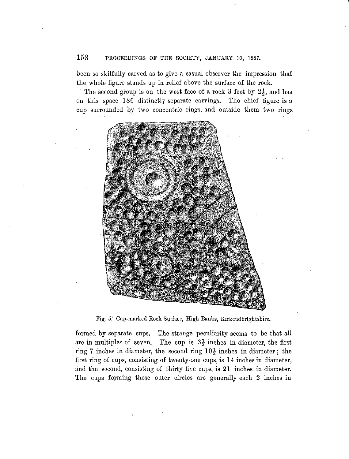## 158 PROCEEDINGS OF THE SOCIETY, JANUARY 10, 1887.

been so skilfully carved as to give a casual observer the impression that the whole figure stands up in relief above the surface of the rock.

The second group is on the west face of a rock 3 feet by  $2\frac{1}{2}$ , and has on this space 186 distinctly separate carvings. The chief figure is a cup surrounded by two concentric rings, and outside them two rings



Fig. 5.' Cup-marked Rock Surface, High Banks, Kirkcudbrightshire.

formed by separate cups. The strange peculiarity seems to be that all are in multiples of seven. The cup is  $3\frac{1}{2}$  inches in diameter, the first ring 7 inches in diameter, the second ring 10*\* inches in diameter; the first ring of cups, consisting of twenty-one cups, is 14 inches in diameter, and the second, consisting of thirty-five cups, is 21 inches in diameter. The cups forming these outer circles are generally each 2 inches in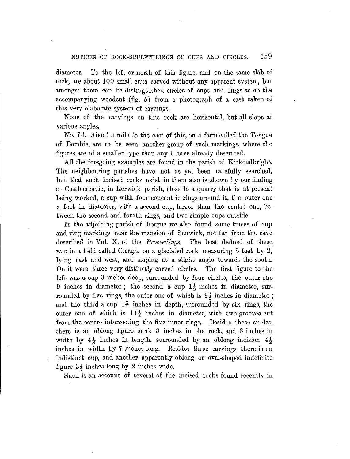### NOTICES OF ROCK-SCULPTURINGS OF CUPS AND CIRCLES. 159

diameter. To the left or north of this figure, and on the same slab of rock, are about 100 small cups carved without any apparent system, but amongst them can be distinguished circles of cups and rings as on the accompanying woodcut (fig. 5) from a photograph of a cast taken of this very elaborate system of carvings.

None of the carvings on this rock are horizontal, but all slope at various angles.

*No. 1*4. About a mile to the east of this, on a farm called the Tongue of Bombie, are to be seen another group of such markings, where the figures are of a smaller type than any I have already described.

All the foregoing examples are found in the parish of Kirkcudbright. The neighbouring parishes have not as yet been carefully searched, but that such incised rocks exist in them also is shown by our finding at Castlecreavie, in Berwick parish, close to a quarry that *is* at present being worked, a cup with four concentric rings around it, the outer one a foot in diameter, with a second cup, larger than the centre one, between the second and fourth rings, and two simple cups outside.

In the adjoining parish of Borgue we also found some traces of cup and ring markings near the mansion of Senwick, not far from the cave described in Vol. X. of the *Proceedings.* The best defined of these, was in a field called Cleagh, on a glaciated rock measuring 5 feet by 2, lying east and west, and sloping at a slight angle towards the south. On it were three very distinctly carved circles. The first figure to the Un it were three very distinctly carved circles. The first figure to the left was a cup 3 inches deep, surrounded by four circles, the outer one 9 inches in diameter; the second a cup  $1\frac{1}{2}$  inches in diameter, sur-9 inches in diameter; the second a cup  $1\frac{1}{2}$  inches in diameter, sur-<br>rounded by five rings, the outer one of which is  $9\frac{1}{2}$  inches in diameter; and the third a cup  $1\frac{3}{4}$  inches in depth, surrounded by six rings, the outer one of which is  $11\frac{1}{2}$  inches in diameter, with two grooves cut from the centre intersecting the five inner rings. Besides these circles, there is an oblong figure sunk 3 inches in the rock, and 3 inches in width by  $4\frac{1}{8}$  inches in length, surrounded by an oblong incision  $4\frac{1}{2}$ inches in width by 7 inches long. Besides these carvings there is an indistinct cup, and another apparently oblong or oval-shaped indefinite figure  $3\frac{1}{2}$  inches long by 2 inches wide.

Such is an account of several of the incised rocks found recently in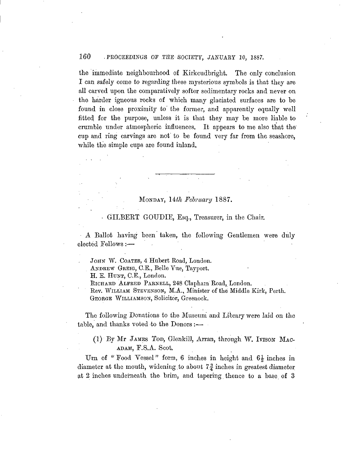# 160 : PROCEEDINGS OF THE SOCIETY, JANUARY 10, 1887.

the immediate neighbourhood of Kirkcudbright. The only conclusion I can safely come to regarding these mysterious symbols is that they are all carved upon the comparatively softer sedimentary rocks and never on the harder igneous rocks of which many glaciated surfaces are to be found in close proximity to' the former, and apparently equally well fitted for the purpose, unless it is that they may be more liable to crumble under atmospheric influences. It appears to me also that the' cup and ring carvings are not to be found very far from the seashore, while the simple cups are found inland.

## • - ' . MONDAY, *14th February* 1887.

### • GlLBEBT GOITDIE, Esq., Treasurer, in the Chair.

A Ballot having been taken, the following Gentlemen were duly elected Fellows:—

JOHN W. COATES, 4 Hubert Road, London.

ANDREW GREIG, O.E., Belle Vue, Tayport.

H. E. HUNT, C.E., London.

EICHARD ALFRED PARNELL, 248 Clapham Road, London.

Rev. WILLIAM STEVENSON, M.A., Minister of the Middle Kirk, Perth. GEORGE WILLIAMSON, Solicitor, Greenock.

The following Donations to the Museum and Library were laid on the table, and thanks voted to the Donors :-

(1) By Mr JAMES TOD, Glenkill, Arran, through W. IVISON MAC-ADAM, F.S.A. Scot.

Urn of "Food Vessel" form, 6 inches in height and  $6\frac{1}{2}$  inches in diameter at the mouth, widening to about  $7\frac{3}{4}$  inches in greatest diameter at 2 inches underneath the brim, and tapering thence to a base of 3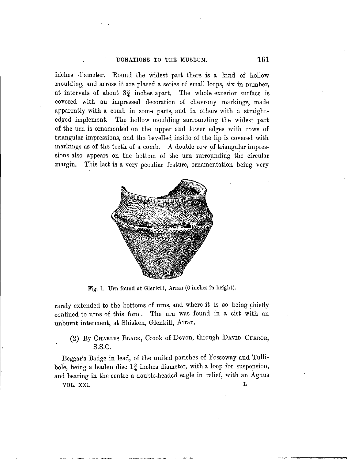### DONATIONS TO THE MUSEUM. 161

inches diameter. Bound the widest part there is a kind of hollow moulding, and across it are placed a series of small loops, six in number, at intervals of about  $3\frac{3}{4}$  inches apart. The whole exterior surface is covered with an impressed decoration of chevrony markings, made apparently with a comb in some parts, and in others with a straightedged implement. The hollow moulding surrounding the widest part of the urn is ornamented on the upper and lower edges with rows of triangular impressions, and the bevelled inside of the lip is covered with markings as of the teeth of a comb. A double row of triangular impressions also appears on the bottom of the urn surrounding the circular margin. This last is a very peculiar feature, ornamentation being very



Fig. 1. Urn found at Glenkill, Arran (6 inches in height).

rarely extended to the bottoms of urns, and where it is so being chiefly confined to urns of this form. The urn was found in a cist with an unburnt interment, at Shisken, Glenkill, Arran.

# (2) By CHARLES BLACK, Crook of Devon, through DAVID CURROR, s.s.c.

Beggar's Badge in lead, of the united parishes of Fossoway and Tullibole, being a leaden disc  $1\frac{3}{4}$  inches diameter, with a loop for suspension, and bearing in the centre a double-headed eagle in relief, with an Agnus **VOL. XXI. L**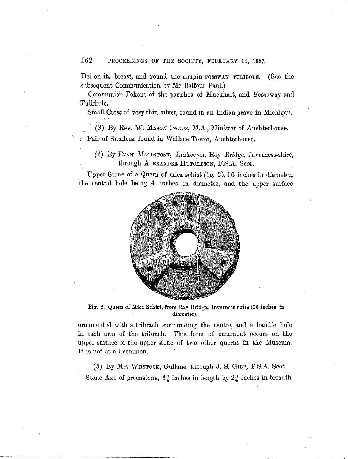## 162 PROCEEDINGS OF THE SOCIETY, FEBRUARY 14, 1887.

Dei on its breast, and round the margin FOSSWAY TULIBOLE. (See the subsequent Communication by Mr Balfour Paul.)

Communion Tokens of the parishes of Muckhart, and Fossoway and Tullibole.

Small Cross of very thin silver, found in an Indian grave in Michigan.

(3) By Kev. *W.* MASON INGLIS, M.A., Minister of Auchterhouse. : Pair of Snuffers, found in Wallace Tower, Auchterhouse.

(4) By EVAN MACINTOSH, Innkeeper, Roy Bridge, Inverness-shire, through ALEXANDER HUTCHESON, F.S.A. Scot.

Upper Stone of a Quern of mica schist (fig. 2), 16 inches in diameter, the central hole being 4 inches in diameter, and the upper surface



Fig. 2. Quern of Mica Schist, from Roy Bridge, Inverness-shire (16 inches'in diameter).

ornamented with a tribrach surrounding the centre, and a handle hole in each arm of the tribrach. This form of ornament occurs on the upper surface of the upper stone of two other querns in the Museum. It is not at all common.

(5) By Mrs WHYTOCK, Gullane, through J. S. GIBB, F.S.A. Scot. Stone Axe of greenstone,  $3\frac{3}{4}$  inches in length by  $2\frac{3}{4}$  inches in breadth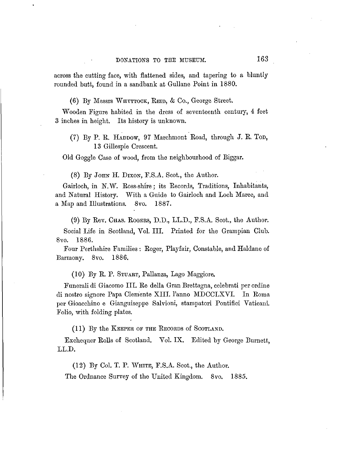across the cutting face, with flattened sides, and tapering to a bluntly rounded butt, found in a sandbank at Gullane Point in 1880.

(6) By Messrs WHYTTOCK, REID, & Co., George Street.

Wooden Figure habited in the dress of seventeenth century, 4 feet 3 inches in height. Its history is unknown.

(7) By P. R. HADDOW, 97 Marchmont Road, through J. R. TOD, 13 Gillespie Crescent.

Old Goggle Case of wood, from the neighbourhood of Biggar.

(8) By JOHN H. DIXON, F.S.A. Scot., the Author.

Gairloch, in N.W. Ross-shire; its Records, Traditions, Inhabitants, and Natural History. "With a Guide to Gairloch and Loch Maree, and a Map and Illustrations. 8vo. 1887.

(9) By Rev. CHAS. ROGEES, D.D., LL.D., F.S.A. Scot., the Author.

Social Life in Scotland, Vol. III. Printed for the Grampian Club. 8vo. 1886.

Four Perthshire Families : Roger, Playfair, Constable, and Haldane of Barmony. 8vo. 1886.

(10) By R. P. STUART, Pallanza, Lago Maggiore.

Funerali di Giacomo III. Re della Gran Brettagna, celebrati per ordine di nostro signore Papa Clem'ente XIII. 1'anno MDCCLXVI. In Roma per Gioacchino e Gianguiseppe Salvioni, stampatori Pontifici Vaticani. Folio, with folding plates.

(11) By the KEEPER OF THE RECORDS of SCOTLAND.

Exchequer Rolls of Scotland. Vol. IX. Edited by George Burnett, LL.D.

(12) By Col. T. P. WHITE, F.S.A. Scot., the Author.

The Ordnance Survey of the United Kingdom. 8vo. 1885.